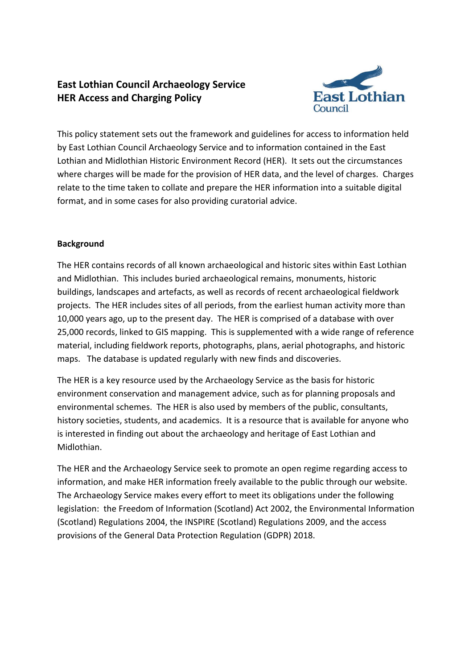# **East Lothian Council Archaeology Service HER Access and Charging Policy**



This policy statement sets out the framework and guidelines for access to information held by East Lothian Council Archaeology Service and to information contained in the East Lothian and Midlothian Historic Environment Record (HER). It sets out the circumstances where charges will be made for the provision of HER data, and the level of charges. Charges relate to the time taken to collate and prepare the HER information into a suitable digital format, and in some cases for also providing curatorial advice.

## **Background**

The HER contains records of all known archaeological and historic sites within East Lothian and Midlothian. This includes buried archaeological remains, monuments, historic buildings, landscapes and artefacts, as well as records of recent archaeological fieldwork projects. The HER includes sites of all periods, from the earliest human activity more than 10,000 years ago, up to the present day. The HER is comprised of a database with over 25,000 records, linked to GIS mapping. This is supplemented with a wide range of reference material, including fieldwork reports, photographs, plans, aerial photographs, and historic maps. The database is updated regularly with new finds and discoveries.

The HER is a key resource used by the Archaeology Service as the basis for historic environment conservation and management advice, such as for planning proposals and environmental schemes. The HER is also used by members of the public, consultants, history societies, students, and academics. It is a resource that is available for anyone who is interested in finding out about the archaeology and heritage of East Lothian and Midlothian.

The HER and the Archaeology Service seek to promote an open regime regarding access to information, and make HER information freely available to the public through our website. The Archaeology Service makes every effort to meet its obligations under the following legislation: the Freedom of Information (Scotland) Act 2002, the Environmental Information (Scotland) Regulations 2004, the INSPIRE (Scotland) Regulations 2009, and the access provisions of the General Data Protection Regulation (GDPR) 2018.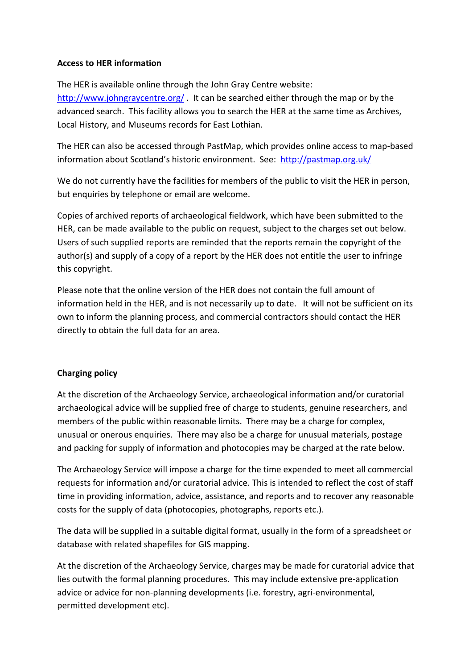#### **Access to HER information**

The HER is available online through the [John Gray Centre website:](http://www.johngraycentre.org/collections/her/) <http://www.johngraycentre.org/>. It can be searched either through [the map o](http://www.johngraycentre.org/map/?s=)r by the [advanced search.](http://www.johngraycentre.org/collections/advancedsearch) This facility allows you to search the HER at the same time as Archives, Local History, and Museums records for East Lothian.

The HER can also be accessed through PastMap, which provides online access to map-based information about Scotland's historic environment. See: <http://pastmap.org.uk/>

We do not currently have the facilities for members of the public to visit the HER in person, but enquiries by telephone or email are welcome.

Copies of archived reports of archaeological fieldwork, which have been submitted to the HER, can be made available to the public on request, subject to the charges set out below. Users of such supplied reports are reminded that the reports remain the copyright of the author(s) and supply of a copy of a report by the HER does not entitle the user to infringe this copyright.

Please note that the online version of the HER does not contain the full amount of information held in the HER, and is not necessarily up to date. It will not be sufficient on its own to inform the planning process, and commercial contractors should contact the HER directly to obtain the full data for an area.

## **Charging policy**

At the discretion of the Archaeology Service, archaeological information and/or curatorial archaeological advice will be supplied free of charge to students, genuine researchers, and members of the public within reasonable limits. There may be a charge for complex, unusual or onerous enquiries. There may also be a charge for unusual materials, postage and packing for supply of information and photocopies may be charged at the rate below.

The Archaeology Service will impose a charge for the time expended to meet all commercial requests for information and/or curatorial advice. This is intended to reflect the cost of staff time in providing information, advice, assistance, and reports and to recover any reasonable costs for the supply of data (photocopies, photographs, reports etc.).

The data will be supplied in a suitable digital format, usually in the form of a spreadsheet or database with related shapefiles for GIS mapping.

At the discretion of the Archaeology Service, charges may be made for curatorial advice that lies outwith the formal planning procedures. This may include extensive pre-application advice or advice for non-planning developments (i.e. forestry, agri-environmental, permitted development etc).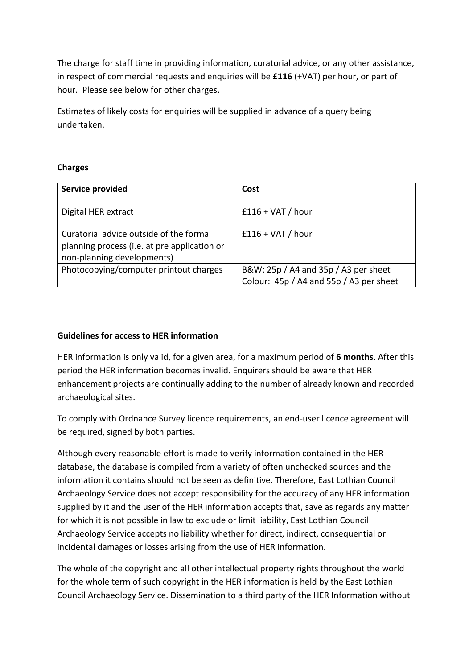The charge for staff time in providing information, curatorial advice, or any other assistance, in respect of commercial requests and enquiries will be **£116** (+VAT) per hour, or part of hour. Please see below for other charges.

Estimates of likely costs for enquiries will be supplied in advance of a query being undertaken.

#### **Charges**

| Service provided                                                                                                      | Cost                                                                            |
|-----------------------------------------------------------------------------------------------------------------------|---------------------------------------------------------------------------------|
| Digital HER extract                                                                                                   | $£116 + VAT / hour$                                                             |
| Curatorial advice outside of the formal<br>planning process (i.e. at pre application or<br>non-planning developments) | $£116 + VAT / hour$                                                             |
| Photocopying/computer printout charges                                                                                | B&W: 25p / A4 and 35p / A3 per sheet<br>Colour: 45p / A4 and 55p / A3 per sheet |

## **Guidelines for access to HER information**

HER information is only valid, for a given area, for a maximum period of **6 months**. After this period the HER information becomes invalid. Enquirers should be aware that HER enhancement projects are continually adding to the number of already known and recorded archaeological sites.

To comply with Ordnance Survey licence requirements, an end-user licence agreement will be required, signed by both parties.

Although every reasonable effort is made to verify information contained in the HER database, the database is compiled from a variety of often unchecked sources and the information it contains should not be seen as definitive. Therefore, East Lothian Council Archaeology Service does not accept responsibility for the accuracy of any HER information supplied by it and the user of the HER information accepts that, save as regards any matter for which it is not possible in law to exclude or limit liability, East Lothian Council Archaeology Service accepts no liability whether for direct, indirect, consequential or incidental damages or losses arising from the use of HER information.

The whole of the copyright and all other intellectual property rights throughout the world for the whole term of such copyright in the HER information is held by the East Lothian Council Archaeology Service. Dissemination to a third party of the HER Information without